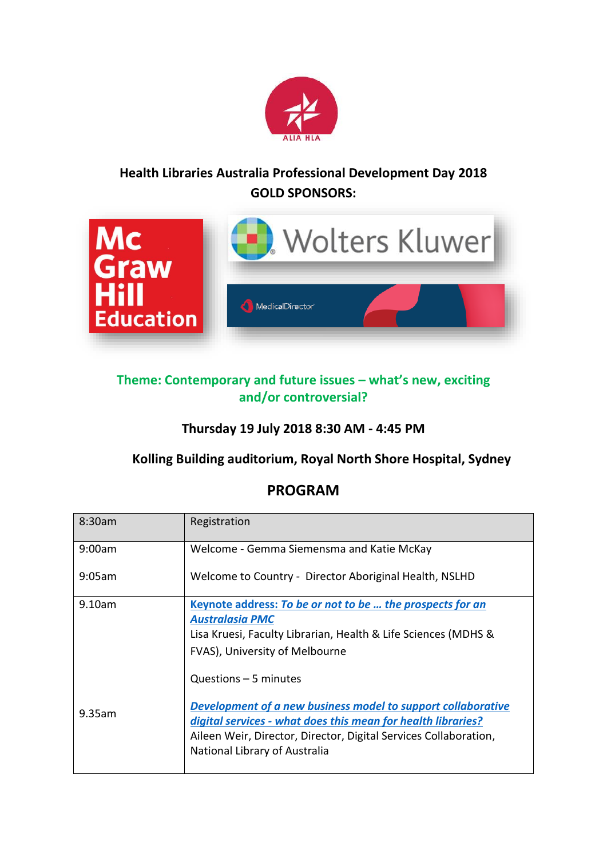

## **Health Libraries Australia Professional Development Day 2018 GOLD SPONSORS:**



## **Theme: Contemporary and future issues – what's new, exciting and/or controversial?**

**Thursday 19 July 2018 8:30 AM - 4:45 PM**

## **Kolling Building auditorium, Royal North Shore Hospital, Sydney**

## **PROGRAM**

| 8:30am    | Registration                                                                                                                                                                                                                                                |
|-----------|-------------------------------------------------------------------------------------------------------------------------------------------------------------------------------------------------------------------------------------------------------------|
| 9:00am    | Welcome - Gemma Siemensma and Katie McKay                                                                                                                                                                                                                   |
| 9:05am    | Welcome to Country - Director Aboriginal Health, NSLHD                                                                                                                                                                                                      |
| 9.10am    | Keynote address: To be or not to be  the prospects for an<br><b>Australasia PMC</b><br>Lisa Kruesi, Faculty Librarian, Health & Life Sciences (MDHS &<br>FVAS), University of Melbourne                                                                     |
| $9.35$ am | Questions $-5$ minutes<br>Development of a new business model to support collaborative<br>digital services - what does this mean for health libraries?<br>Aileen Weir, Director, Director, Digital Services Collaboration,<br>National Library of Australia |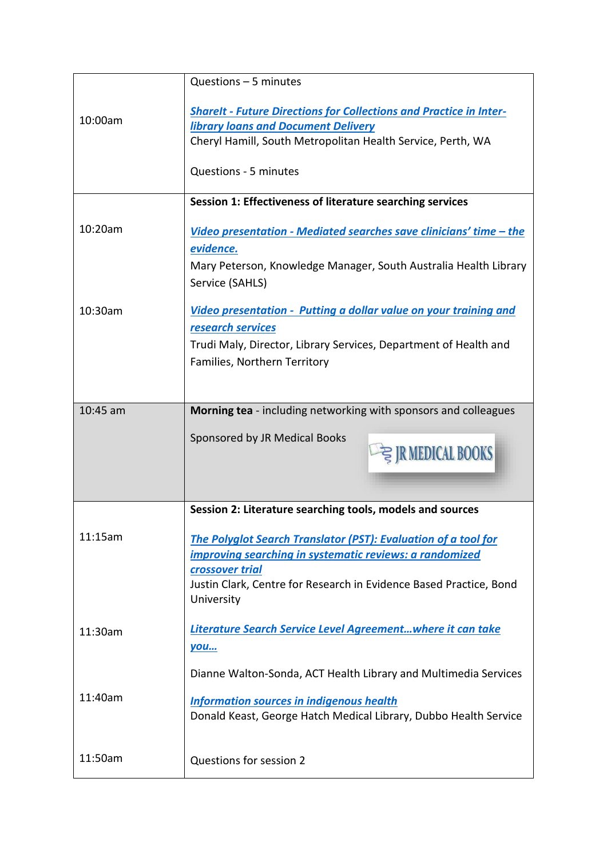|          | Questions - 5 minutes                                                                                                                                                                                                            |
|----------|----------------------------------------------------------------------------------------------------------------------------------------------------------------------------------------------------------------------------------|
| 10:00am  | <b>Sharelt - Future Directions for Collections and Practice in Inter-</b><br><b>library loans and Document Delivery</b><br>Cheryl Hamill, South Metropolitan Health Service, Perth, WA                                           |
|          | Questions - 5 minutes                                                                                                                                                                                                            |
|          | Session 1: Effectiveness of literature searching services                                                                                                                                                                        |
| 10:20am  | <u><b>Video presentation - Mediated searches save clinicians' time – the</b></u><br>evidence.<br>Mary Peterson, Knowledge Manager, South Australia Health Library                                                                |
|          | Service (SAHLS)                                                                                                                                                                                                                  |
| 10:30am  | Video presentation - Putting a dollar value on your training and<br>research services<br>Trudi Maly, Director, Library Services, Department of Health and<br>Families, Northern Territory                                        |
|          |                                                                                                                                                                                                                                  |
| 10:45 am | Morning tea - including networking with sponsors and colleagues<br>Sponsored by JR Medical Books<br>긓 JR MEDICAL BOOKS                                                                                                           |
|          | Session 2: Literature searching tools, models and sources                                                                                                                                                                        |
| 11:15am  | The Polyglot Search Translator (PST): Evaluation of a tool for<br>improving searching in systematic reviews: a randomized<br>crossover trial<br>Justin Clark, Centre for Research in Evidence Based Practice, Bond<br>University |
| 11:30am  | Literature Search Service Level Agreementwhere it can take<br><u>you</u>                                                                                                                                                         |
|          | Dianne Walton-Sonda, ACT Health Library and Multimedia Services                                                                                                                                                                  |
| 11:40am  | <b>Information sources in indigenous health</b><br>Donald Keast, George Hatch Medical Library, Dubbo Health Service                                                                                                              |
| 11:50am  | Questions for session 2                                                                                                                                                                                                          |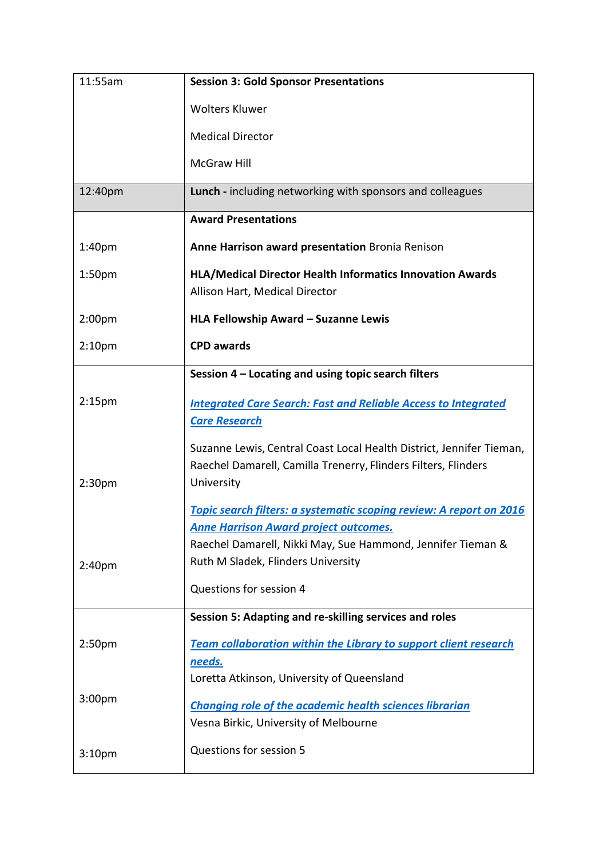| 11:55am                                  | <b>Session 3: Gold Sponsor Presentations</b>                                                                                                         |
|------------------------------------------|------------------------------------------------------------------------------------------------------------------------------------------------------|
|                                          | <b>Wolters Kluwer</b>                                                                                                                                |
|                                          | <b>Medical Director</b>                                                                                                                              |
|                                          | <b>McGraw Hill</b>                                                                                                                                   |
| 12:40pm                                  | Lunch - including networking with sponsors and colleagues                                                                                            |
|                                          | <b>Award Presentations</b>                                                                                                                           |
| 1:40pm                                   | Anne Harrison award presentation Bronia Renison                                                                                                      |
| 1:50pm                                   | <b>HLA/Medical Director Health Informatics Innovation Awards</b><br>Allison Hart, Medical Director                                                   |
| 2:00pm                                   | HLA Fellowship Award - Suzanne Lewis                                                                                                                 |
| 2:10 <sub>pm</sub>                       | <b>CPD awards</b>                                                                                                                                    |
|                                          | Session 4 - Locating and using topic search filters                                                                                                  |
| 2:15 <sub>pm</sub>                       | <b>Integrated Care Search: Fast and Reliable Access to Integrated</b><br><b>Care Research</b>                                                        |
| 2:30 <sub>pm</sub><br>2:40 <sub>pm</sub> | Suzanne Lewis, Central Coast Local Health District, Jennifer Tieman,<br>Raechel Damarell, Camilla Trenerry, Flinders Filters, Flinders<br>University |
|                                          | Topic search filters: a systematic scoping review: A report on 2016<br><b>Anne Harrison Award project outcomes.</b>                                  |
|                                          | Raechel Damarell, Nikki May, Sue Hammond, Jennifer Tieman &<br>Ruth M Sladek, Flinders University                                                    |
|                                          | Questions for session 4                                                                                                                              |
|                                          | Session 5: Adapting and re-skilling services and roles                                                                                               |
| 2:50 <sub>pm</sub>                       | <b>Team collaboration within the Library to support client research</b><br>needs.                                                                    |
|                                          | Loretta Atkinson, University of Queensland                                                                                                           |
| 3:00pm                                   | <b>Changing role of the academic health sciences librarian</b><br>Vesna Birkic, University of Melbourne                                              |
| 3:10 <sub>pm</sub>                       | Questions for session 5                                                                                                                              |